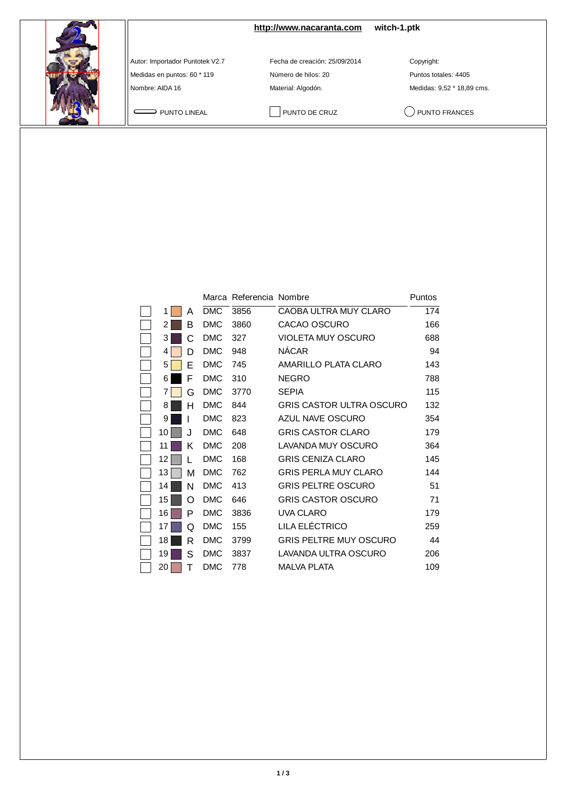

**<http://www.nacaranta.com>witch-1.ptk**

Autor: Importador Puntotek V2.7 Fecha de creación: 25/09/2014 Copyright:

Medidas en puntos: 60 \* 119 <br>
Número de hilos: 20 **Puntos totales: 4405** Nombre: AIDA 16 **Material: Algodón.** Material: Algodón. Medidas: 9,52 \* 18,89 cms.

PUNTO LINEAL PUNTO DE CRUZ QUINTO FRANCES

|    |     |            | Marca Referencia Nombre |                                 | Puntos |
|----|-----|------------|-------------------------|---------------------------------|--------|
| 1  | А   | <b>DMC</b> | 3856                    | <b>CAOBA ULTRA MUY CLARO</b>    | 174    |
| 2  | в   | <b>DMC</b> | 3860                    | CACAO OSCURO                    | 166    |
| 3  | C   | <b>DMC</b> | 327                     | <b>VIOLETA MUY OSCURO</b>       | 688    |
| 4  | D   | <b>DMC</b> | 948                     | <b>NÁCAR</b>                    | 94     |
| 5  | E   | <b>DMC</b> | 745                     | AMARILLO PLATA CLARO            | 143    |
| 6  | F   | <b>DMC</b> | 310                     | <b>NEGRO</b>                    | 788    |
| 7  | G   | <b>DMC</b> | 3770                    | <b>SEPIA</b>                    | 115    |
| 8  | н   | <b>DMC</b> | 844                     | <b>GRIS CASTOR ULTRA OSCURO</b> | 132    |
| 9  |     | <b>DMC</b> | 823                     | AZUL NAVE OSCURO                | 354    |
| 10 | . I | <b>DMC</b> | 648                     | <b>GRIS CASTOR CLARO</b>        | 179    |
| 11 | Κ   | <b>DMC</b> | 208                     | LAVANDA MUY OSCURO              | 364    |
| 12 | L   | <b>DMC</b> | 168                     | <b>GRIS CENIZA CLARO</b>        | 145    |
| 13 | М   | <b>DMC</b> | 762                     | <b>GRIS PERLA MUY CLARO</b>     | 144    |
| 14 | N   | <b>DMC</b> | 413                     | <b>GRIS PELTRE OSCURO</b>       | 51     |
| 15 | റ   | <b>DMC</b> | 646                     | <b>GRIS CASTOR OSCURO</b>       | 71     |
| 16 | P   | <b>DMC</b> | 3836                    | <b>UVA CLARO</b>                | 179    |
| 17 | Q   | <b>DMC</b> | 155                     | LILA ELÉCTRICO                  | 259    |
| 18 | R   | <b>DMC</b> | 3799                    | <b>GRIS PELTRE MUY OSCURO</b>   | 44     |
| 19 | S   | <b>DMC</b> | 3837                    | LAVANDA ULTRA OSCURO            | 206    |
| 20 | т   | <b>DMC</b> | 778                     | <b>MALVA PLATA</b>              | 109    |
|    |     |            |                         |                                 |        |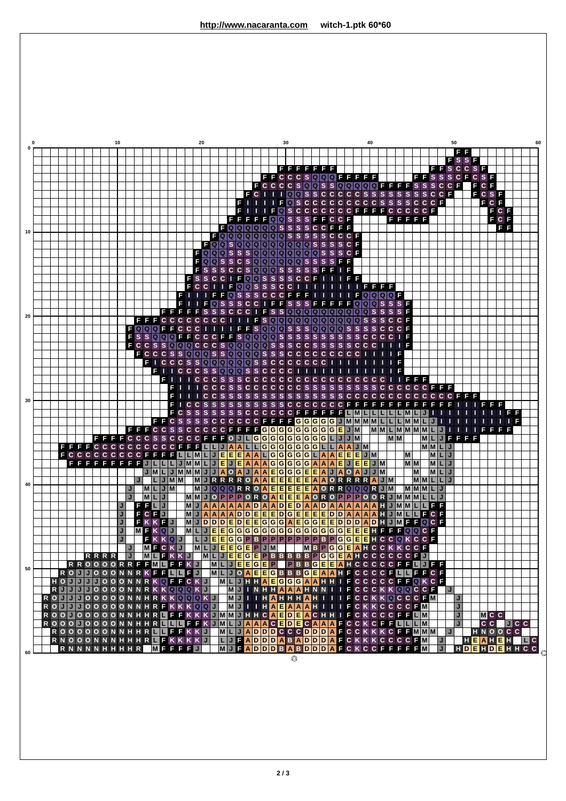